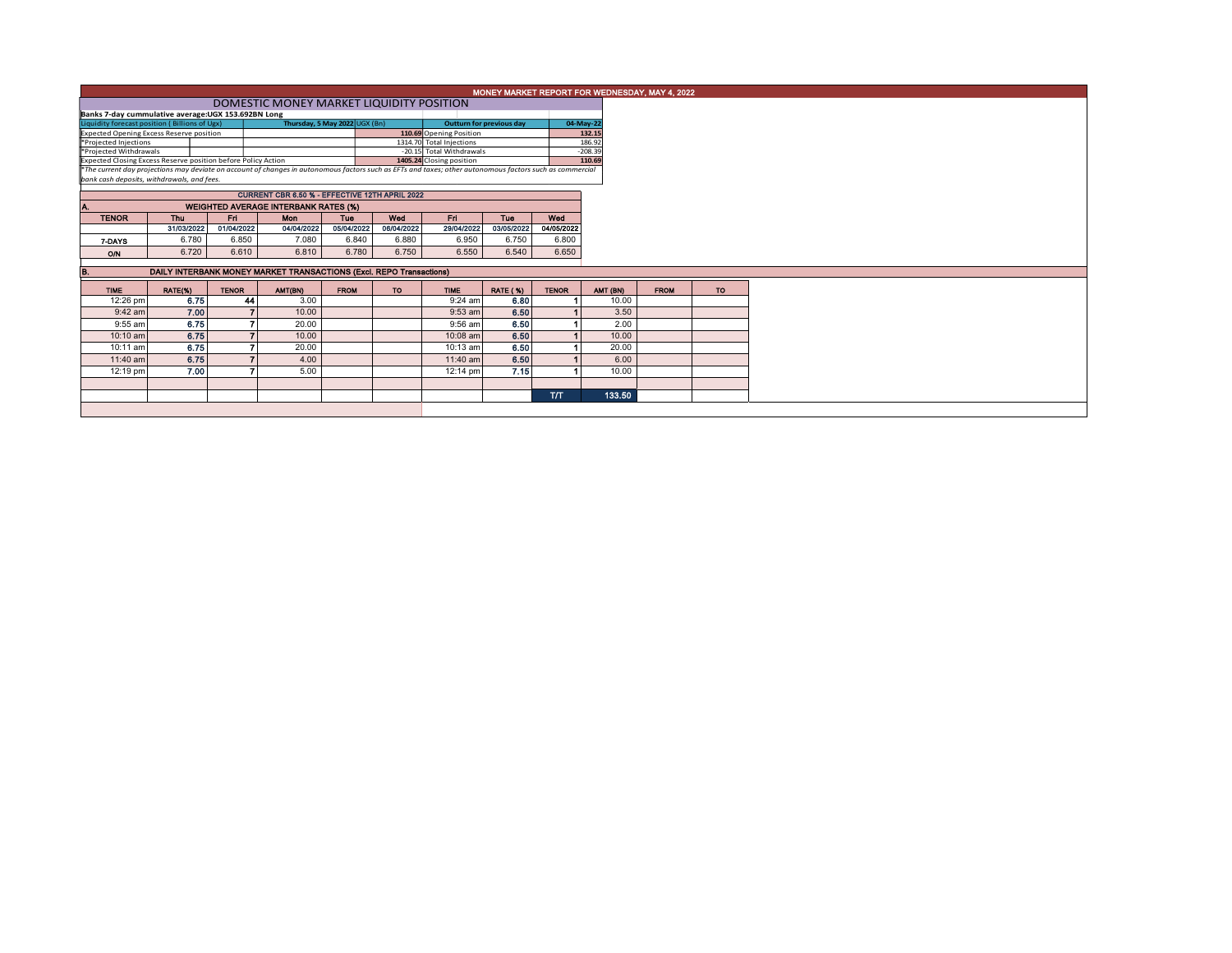|                                                                                                                                                          | MONEY MARKET REPORT FOR WEDNESDAY, MAY 4, 2022<br>DOMESTIC MONEY MARKET LIQUIDITY POSITION    |              |            |             |                          |                                                      |                 |              |                     |             |           |  |  |  |
|----------------------------------------------------------------------------------------------------------------------------------------------------------|-----------------------------------------------------------------------------------------------|--------------|------------|-------------|--------------------------|------------------------------------------------------|-----------------|--------------|---------------------|-------------|-----------|--|--|--|
|                                                                                                                                                          |                                                                                               |              |            |             |                          |                                                      |                 |              |                     |             |           |  |  |  |
| Banks 7-day cummulative average: UGX 153.692BN Long                                                                                                      |                                                                                               |              |            |             |                          |                                                      |                 |              |                     |             |           |  |  |  |
| Thursday, 5 May 2022 UGX (Bn)<br>Liquidity forecast position (Billions of Ugx)                                                                           |                                                                                               |              |            |             | Outturn for previous day |                                                      |                 |              | 04-May-22           |             |           |  |  |  |
| <b>Expected Opening Excess Reserve position</b>                                                                                                          |                                                                                               |              |            |             |                          | 110.69 Opening Position                              |                 |              | 132.15              |             |           |  |  |  |
| *Projected Injections<br>*Projected Withdrawals                                                                                                          |                                                                                               |              |            |             |                          | 1314.70 Total Injections<br>-20.15 Total Withdrawals |                 |              | 186.92<br>$-208.39$ |             |           |  |  |  |
| Expected Closing Excess Reserve position before Policy Action                                                                                            |                                                                                               |              |            |             |                          | 1405.24 Closing position                             |                 | 110.69       |                     |             |           |  |  |  |
| *The current day projections may deviate on account of changes in autonomous factors such as EFTs and taxes; other autonomous factors such as commercial |                                                                                               |              |            |             |                          |                                                      |                 |              |                     |             |           |  |  |  |
|                                                                                                                                                          | bank cash deposits, withdrawals, and fees.                                                    |              |            |             |                          |                                                      |                 |              |                     |             |           |  |  |  |
|                                                                                                                                                          | CURRENT CBR 6.50 % - EFFECTIVE 12TH APRIL 2022<br><b>WEIGHTED AVERAGE INTERBANK RATES (%)</b> |              |            |             |                          |                                                      |                 |              |                     |             |           |  |  |  |
|                                                                                                                                                          |                                                                                               |              |            |             |                          |                                                      |                 |              |                     |             |           |  |  |  |
| <b>TENOR</b>                                                                                                                                             | <b>Thu</b>                                                                                    | Fri          | Mon        | <b>Tue</b>  | Wed                      | Fri.                                                 | Tue             | Wed          |                     |             |           |  |  |  |
|                                                                                                                                                          | 31/03/2022                                                                                    | 01/04/2022   | 04/04/2022 | 05/04/2022  | 06/04/2022               | 29/04/2022                                           | 03/05/2022      | 04/05/2022   |                     |             |           |  |  |  |
| 7-DAYS                                                                                                                                                   | 6.780                                                                                         | 6.850        | 7.080      | 6.840       | 6.880                    | 6.950                                                | 6.750           | 6.800        |                     |             |           |  |  |  |
| O/N                                                                                                                                                      | 6.720                                                                                         | 6.610        | 6.810      | 6.780       | 6.750                    | 6.550                                                | 6.540           | 6.650        |                     |             |           |  |  |  |
|                                                                                                                                                          |                                                                                               |              |            |             |                          |                                                      |                 |              |                     |             |           |  |  |  |
| В.                                                                                                                                                       | DAILY INTERBANK MONEY MARKET TRANSACTIONS (Excl. REPO Transactions)                           |              |            |             |                          |                                                      |                 |              |                     |             |           |  |  |  |
| <b>TIME</b>                                                                                                                                              | RATE(%)                                                                                       | <b>TENOR</b> | AMT(BN)    | <b>FROM</b> | <b>TO</b>                | <b>TIME</b>                                          | <b>RATE (%)</b> | <b>TENOR</b> | AMT (BN)            | <b>FROM</b> | <b>TO</b> |  |  |  |
| 12:26 pm                                                                                                                                                 | 6.75                                                                                          |              | 3.00<br>44 |             |                          | $9:24$ am                                            | 6.80            |              | 10.00               |             |           |  |  |  |
| $9:42$ am                                                                                                                                                | 7.00                                                                                          |              | 10.00      |             |                          | $9:53$ am                                            | 6.50            |              | 3.50                |             |           |  |  |  |
| 9:55 am                                                                                                                                                  | 6.75                                                                                          |              | 20.00      |             |                          | $9:56$ am                                            | 6.50            |              | 2.00                |             |           |  |  |  |
| 10:10 am                                                                                                                                                 | 6.75                                                                                          |              | 10.00      |             |                          | 10:08 am                                             | 6.50            |              | 10.00               |             |           |  |  |  |
| 10:11 am                                                                                                                                                 | 6.75                                                                                          |              | 20.00      |             |                          | $10:13$ am                                           | 6.50            |              | 20.00               |             |           |  |  |  |
| 11:40 am                                                                                                                                                 | 6.75                                                                                          |              | 4.00       |             |                          | $11:40$ am                                           | 6.50            |              | 6.00                |             |           |  |  |  |
| 12:19 pm                                                                                                                                                 | 7.00                                                                                          |              | 5.00       |             |                          | $12:14 \text{ pm}$                                   | 7.15            |              | 10.00               |             |           |  |  |  |
|                                                                                                                                                          |                                                                                               |              |            |             |                          |                                                      |                 |              |                     |             |           |  |  |  |
|                                                                                                                                                          |                                                                                               |              |            |             |                          |                                                      |                 | <b>T/T</b>   | 133.50              |             |           |  |  |  |
|                                                                                                                                                          |                                                                                               |              |            |             |                          |                                                      |                 |              |                     |             |           |  |  |  |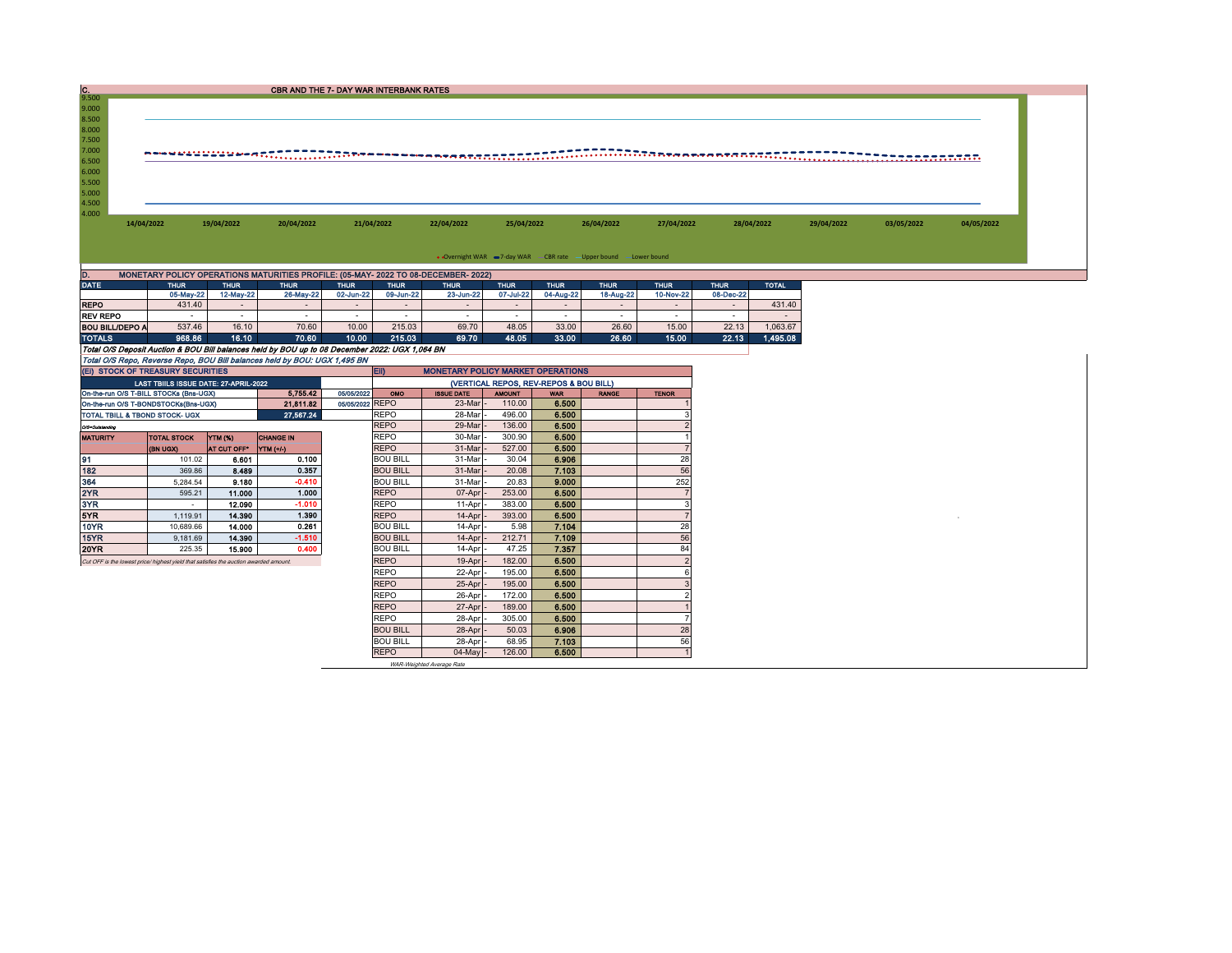| 9.500<br>9.000                                                                                                                                                                                   |            |
|--------------------------------------------------------------------------------------------------------------------------------------------------------------------------------------------------|------------|
| 8.500<br>8.000<br>7.500<br>7.000                                                                                                                                                                 |            |
|                                                                                                                                                                                                  |            |
|                                                                                                                                                                                                  |            |
|                                                                                                                                                                                                  |            |
| 6.500<br>6.000                                                                                                                                                                                   |            |
|                                                                                                                                                                                                  |            |
|                                                                                                                                                                                                  |            |
| 5.500                                                                                                                                                                                            |            |
| 5.000<br>4.500                                                                                                                                                                                   |            |
| 4.000                                                                                                                                                                                            |            |
| 14/04/2022<br>19/04/2022<br>20/04/2022<br>21/04/2022<br>22/04/2022<br>25/04/2022<br>26/04/2022<br>27/04/2022<br>28/04/2022<br>29/04/2022<br>03/05/2022                                           | 04/05/2022 |
|                                                                                                                                                                                                  |            |
|                                                                                                                                                                                                  |            |
| • Overnight WAR -7-day WAR - CBR rate - Upper bound - Lower bound                                                                                                                                |            |
| MONETARY POLICY OPERATIONS MATURITIES PROFILE: (05-MAY- 2022 TO 08-DECEMBER- 2022)                                                                                                               |            |
| <b>DATE</b><br><b>THUR</b><br><b>TOTAL</b><br><b>THUR</b><br><b>THUR</b><br><b>THUR</b><br><b>THUR</b><br><b>THUR</b><br><b>THUR</b><br><b>THUR</b><br><b>THUR</b><br><b>THUR</b><br><b>THUR</b> |            |
| 05-May-22<br>12-May-22<br>26-May-22<br>09-Jun-22<br>23-Jun-22<br>07-Jul-22<br>04-Aug-22<br>18-Aug-22<br>10-Nov-22<br>08-Dec-22<br>02-Jun-22                                                      |            |
| <b>REPO</b><br>431.40<br>431.40<br>$\sim$<br>$\sim$<br>$\sim$<br>$\sim$<br>$\sim$<br>$\sim$<br>$\sim$                                                                                            |            |
| <b>REV REPO</b><br>$\sim$<br>$\sim$<br>$\sim$<br>$\sim$<br>$\sim$<br>$\sim$<br>$\sim$<br>$\sim$<br>$\sim$<br>$\sim$<br>$\sim$<br>$\sim$                                                          |            |
| <b>BOU BILL/DEPO A</b><br>537.46<br>16.10<br>70.60<br>10.00<br>215.03<br>69.70<br>48.05<br>33.00<br>26.60<br>15.00<br>22.13<br>1,063.67                                                          |            |
| 968.86<br>70.60<br>10.00<br>215.03<br>33.00<br>26.60<br>15.00<br>1,495.08<br><b>TOTALS</b><br>16.10<br>69.70<br>48.05<br>22.13                                                                   |            |
| Total O/S Deposit Auction & BOU Bill balances held by BOU up to 08 December 2022: UGX 1,064 BN                                                                                                   |            |
| Total O/S Repo, Reverse Repo, BOU Bill balances held by BOU: UGX 1,495 BN                                                                                                                        |            |
| (EI) STOCK OF TREASURY SECURITIES<br><b>MONETARY POLICY MARKET OPERATIONS</b><br>EID                                                                                                             |            |
| LAST TBIILS ISSUE DATE: 27-APRIL-2022<br>(VERTICAL REPOS, REV-REPOS & BOU BILL)                                                                                                                  |            |
| 5,755.42<br>On-the-run O/S T-BILL STOCKs (Bns-UGX)<br>05/05/2022<br><b>ISSUE DATE</b><br><b>AMOUNT</b><br>OMO<br><b>WAR</b><br><b>RANGE</b><br><b>TENOR</b>                                      |            |
| 05/05/2022 REPO<br>23-Mar<br>110.00<br>6.500<br>21,811.82<br>On-the-run O/S T-BONDSTOCKs(Bns-UGX)                                                                                                |            |
| 28-Mar<br>496.00<br>6.500<br>TOTAL TBILL & TBOND STOCK- UGX<br>27,567.24<br>REPO                                                                                                                 |            |
| <b>REPO</b><br>29-Mar<br>136.00<br>6.500<br>O/S=Outstanding                                                                                                                                      |            |
| <b>REPO</b><br>30-Mar<br>300.90<br>6.500<br><b>CHANGE IN</b><br><b>MATURITY</b><br><b>TOTAL STOCK</b><br>YTM (%)                                                                                 |            |
| <b>REPO</b><br>31-Mar<br>527.00<br>6,500<br>(BN UGX)<br>AT CUT OFF*<br>YTM (+/-)<br>7                                                                                                            |            |
| 28<br><b>BOU BILL</b><br>31-Mar<br>30.04<br>6.906<br>0.100<br>101.02<br>6.601                                                                                                                    |            |
| 0.357<br>56<br>182<br><b>BOU BILL</b><br>31-Mar<br>20.08<br>7.103<br>8.489<br>369.86<br>$-0.410$<br>252                                                                                          |            |
| 364<br>9.180<br><b>BOU BILL</b><br>31-Mar<br>20.83<br>9.000<br>5,284.54<br>2YR<br>1.000<br><b>REPO</b><br>07-Apr<br>253.00<br>6.500<br>595.21<br>11.000                                          |            |
| 3YR<br>$-1.010$<br>REPO<br>383.00<br>6,500<br>11-Apr<br>12.090<br>$\sim$                                                                                                                         |            |
| 5YR<br>1.390<br><b>REPO</b><br>6.500<br>1,119.91<br>14.390<br>14-Apr<br>393.00                                                                                                                   |            |
| 0.261<br>7.104<br>28<br><b>10YR</b><br><b>BOU BILL</b><br>5.98<br>10,689.66<br>14.000<br>14-Apr                                                                                                  |            |
|                                                                                                                                                                                                  |            |
|                                                                                                                                                                                                  |            |
| $-1.510$<br><b>BOU BILL</b><br>56<br>212.71<br>7.109<br>14.390<br>14-Apr<br>9,181.69                                                                                                             |            |
| 0.400<br><b>BOU BILL</b><br>47.25<br>7.357<br>84<br>225.35<br>15.900<br>14-Apr                                                                                                                   |            |
| <b>REPO</b><br>182.00<br>6.500<br>19-Apr                                                                                                                                                         |            |
| <b>REPO</b><br>22-Apr<br>195.00<br>6.500<br>6                                                                                                                                                    |            |
| 15YR<br>20YR<br>Cut OFF is the lowest price/ highest yield that satisfies the auction awarded amount.<br><b>REPO</b><br>6.500<br>25-Apr<br>195.00<br>$\mathcal{P}$                               |            |
| <b>REPO</b><br>26-Apr<br>172.00<br>6.500                                                                                                                                                         |            |
| <b>REPO</b><br>27-Apr<br>189.00<br>6.500                                                                                                                                                         |            |
| <b>REPO</b><br>28-Apr<br>305.00<br>6,500                                                                                                                                                         |            |
| <b>BOU BILL</b><br>28<br>28-Apr<br>50.03<br>6.906<br>56<br>7.103<br><b>BOU BILL</b><br>28-Apr<br>68.95                                                                                           |            |

WAR-Weighted Average Rate